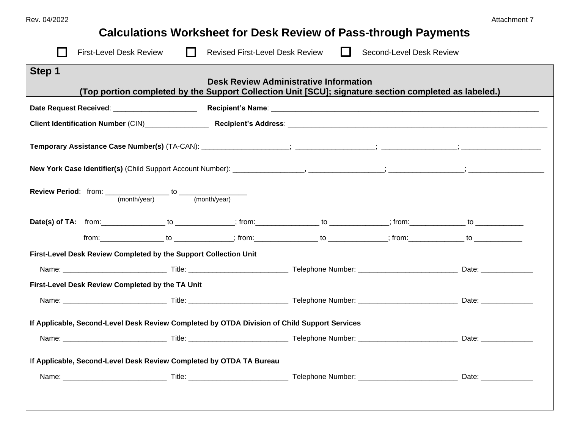## **Calculations Worksheet for Desk Review of Pass-through Payments**

|                                                                                                                                                                                                                                                                                                                                                                                                                                          | <b>First-Level Desk Review</b>                                                                                                                                                                                                 |  | <b>Revised First-Level Desk Review</b> |  | Second-Level Desk Review                                                                                                                                                                                                                                                                                                                                                                                                                                       |  |  |  |
|------------------------------------------------------------------------------------------------------------------------------------------------------------------------------------------------------------------------------------------------------------------------------------------------------------------------------------------------------------------------------------------------------------------------------------------|--------------------------------------------------------------------------------------------------------------------------------------------------------------------------------------------------------------------------------|--|----------------------------------------|--|----------------------------------------------------------------------------------------------------------------------------------------------------------------------------------------------------------------------------------------------------------------------------------------------------------------------------------------------------------------------------------------------------------------------------------------------------------------|--|--|--|
| Step 1<br><b>Desk Review Administrative Information</b><br>(Top portion completed by the Support Collection Unit [SCU]; signature section completed as labeled.)                                                                                                                                                                                                                                                                         |                                                                                                                                                                                                                                |  |                                        |  |                                                                                                                                                                                                                                                                                                                                                                                                                                                                |  |  |  |
|                                                                                                                                                                                                                                                                                                                                                                                                                                          |                                                                                                                                                                                                                                |  |                                        |  |                                                                                                                                                                                                                                                                                                                                                                                                                                                                |  |  |  |
|                                                                                                                                                                                                                                                                                                                                                                                                                                          |                                                                                                                                                                                                                                |  |                                        |  |                                                                                                                                                                                                                                                                                                                                                                                                                                                                |  |  |  |
|                                                                                                                                                                                                                                                                                                                                                                                                                                          |                                                                                                                                                                                                                                |  |                                        |  |                                                                                                                                                                                                                                                                                                                                                                                                                                                                |  |  |  |
|                                                                                                                                                                                                                                                                                                                                                                                                                                          |                                                                                                                                                                                                                                |  |                                        |  |                                                                                                                                                                                                                                                                                                                                                                                                                                                                |  |  |  |
| <b>Review Period:</b> from: $\frac{\frac{1}{2} \cdot \frac{1}{2} \cdot \frac{1}{2} \cdot \frac{1}{2} \cdot \frac{1}{2} \cdot \frac{1}{2} \cdot \frac{1}{2} \cdot \frac{1}{2} \cdot \frac{1}{2} \cdot \frac{1}{2} \cdot \frac{1}{2} \cdot \frac{1}{2} \cdot \frac{1}{2} \cdot \frac{1}{2} \cdot \frac{1}{2} \cdot \frac{1}{2} \cdot \frac{1}{2} \cdot \frac{1}{2} \cdot \frac{1}{2} \cdot \frac{1}{2} \cdot \frac{1}{2} \cdot \frac{1}{2$ |                                                                                                                                                                                                                                |  |                                        |  |                                                                                                                                                                                                                                                                                                                                                                                                                                                                |  |  |  |
|                                                                                                                                                                                                                                                                                                                                                                                                                                          |                                                                                                                                                                                                                                |  |                                        |  | Date(s) of TA: from:________________ to _____________; from:________________ to _____________; from:___________ to ______________ to                                                                                                                                                                                                                                                                                                                           |  |  |  |
|                                                                                                                                                                                                                                                                                                                                                                                                                                          |                                                                                                                                                                                                                                |  |                                        |  | $\begin{array}{ccc}\n\text{from:} & \text{to} & \text{to} & \text{to} & \text{to} & \text{to} & \text{to} & \text{to} & \text{to} & \text{to} & \text{to} & \text{to} & \text{to} & \text{to} & \text{to} & \text{to} & \text{to} & \text{to} & \text{to} & \text{to} & \text{to} & \text{to} & \text{to} & \text{to} & \text{to} & \text{to} & \text{to} & \text{to} & \text{to} & \text{to} & \text{to} & \text{to} & \text{to} & \text{to} & \text{to} & \$ |  |  |  |
| First-Level Desk Review Completed by the Support Collection Unit                                                                                                                                                                                                                                                                                                                                                                         |                                                                                                                                                                                                                                |  |                                        |  |                                                                                                                                                                                                                                                                                                                                                                                                                                                                |  |  |  |
|                                                                                                                                                                                                                                                                                                                                                                                                                                          | Name: Date: Date: Title: Title: Title: The Communication of the Communication of the Communication of the Communication of the Communication of the Communication of the Communication of the Communication of the Communicati |  |                                        |  |                                                                                                                                                                                                                                                                                                                                                                                                                                                                |  |  |  |
| First-Level Desk Review Completed by the TA Unit                                                                                                                                                                                                                                                                                                                                                                                         |                                                                                                                                                                                                                                |  |                                        |  |                                                                                                                                                                                                                                                                                                                                                                                                                                                                |  |  |  |
|                                                                                                                                                                                                                                                                                                                                                                                                                                          |                                                                                                                                                                                                                                |  |                                        |  |                                                                                                                                                                                                                                                                                                                                                                                                                                                                |  |  |  |
| If Applicable, Second-Level Desk Review Completed by OTDA Division of Child Support Services                                                                                                                                                                                                                                                                                                                                             |                                                                                                                                                                                                                                |  |                                        |  |                                                                                                                                                                                                                                                                                                                                                                                                                                                                |  |  |  |
|                                                                                                                                                                                                                                                                                                                                                                                                                                          | Name: Date: Date: Title: Title: Title: The Communication of the Communication of the Communication of the Communication of the Communication of the Communication of the Communication of the Communication of the Communicati |  |                                        |  |                                                                                                                                                                                                                                                                                                                                                                                                                                                                |  |  |  |
| If Applicable, Second-Level Desk Review Completed by OTDA TA Bureau                                                                                                                                                                                                                                                                                                                                                                      |                                                                                                                                                                                                                                |  |                                        |  |                                                                                                                                                                                                                                                                                                                                                                                                                                                                |  |  |  |
|                                                                                                                                                                                                                                                                                                                                                                                                                                          |                                                                                                                                                                                                                                |  |                                        |  |                                                                                                                                                                                                                                                                                                                                                                                                                                                                |  |  |  |
|                                                                                                                                                                                                                                                                                                                                                                                                                                          |                                                                                                                                                                                                                                |  |                                        |  |                                                                                                                                                                                                                                                                                                                                                                                                                                                                |  |  |  |
|                                                                                                                                                                                                                                                                                                                                                                                                                                          |                                                                                                                                                                                                                                |  |                                        |  |                                                                                                                                                                                                                                                                                                                                                                                                                                                                |  |  |  |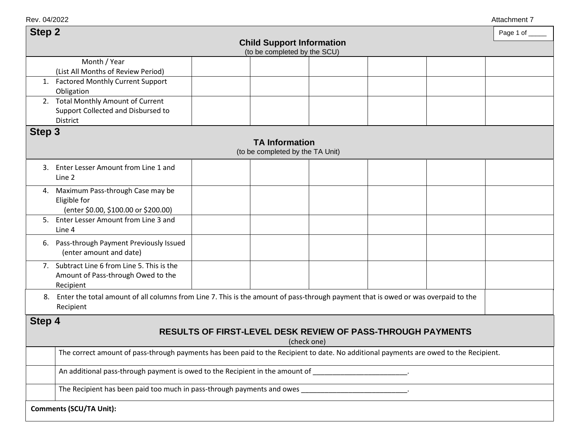Rev. 04/2022 Attachment 7

| <b>Step 2</b>                                                      |                                                                                                                                                      |  |                       |  |  | Page 1 of |  |  |
|--------------------------------------------------------------------|------------------------------------------------------------------------------------------------------------------------------------------------------|--|-----------------------|--|--|-----------|--|--|
| <b>Child Support Information</b>                                   |                                                                                                                                                      |  |                       |  |  |           |  |  |
| (to be completed by the SCU)<br>Month / Year                       |                                                                                                                                                      |  |                       |  |  |           |  |  |
|                                                                    | (List All Months of Review Period)                                                                                                                   |  |                       |  |  |           |  |  |
|                                                                    | 1. Factored Monthly Current Support                                                                                                                  |  |                       |  |  |           |  |  |
|                                                                    | Obligation                                                                                                                                           |  |                       |  |  |           |  |  |
|                                                                    | 2. Total Monthly Amount of Current                                                                                                                   |  |                       |  |  |           |  |  |
|                                                                    | Support Collected and Disbursed to<br>District                                                                                                       |  |                       |  |  |           |  |  |
| Step <sub>3</sub>                                                  |                                                                                                                                                      |  |                       |  |  |           |  |  |
|                                                                    |                                                                                                                                                      |  | <b>TA Information</b> |  |  |           |  |  |
| (to be completed by the TA Unit)                                   |                                                                                                                                                      |  |                       |  |  |           |  |  |
|                                                                    | 3. Enter Lesser Amount from Line 1 and<br>Line 2                                                                                                     |  |                       |  |  |           |  |  |
| 4.                                                                 | Maximum Pass-through Case may be                                                                                                                     |  |                       |  |  |           |  |  |
|                                                                    | Eligible for                                                                                                                                         |  |                       |  |  |           |  |  |
|                                                                    | (enter \$0.00, \$100.00 or \$200.00)                                                                                                                 |  |                       |  |  |           |  |  |
|                                                                    | 5. Enter Lesser Amount from Line 3 and                                                                                                               |  |                       |  |  |           |  |  |
|                                                                    | Line 4                                                                                                                                               |  |                       |  |  |           |  |  |
| 6.                                                                 | Pass-through Payment Previously Issued<br>(enter amount and date)                                                                                    |  |                       |  |  |           |  |  |
|                                                                    | 7. Subtract Line 6 from Line 5. This is the                                                                                                          |  |                       |  |  |           |  |  |
|                                                                    | Amount of Pass-through Owed to the                                                                                                                   |  |                       |  |  |           |  |  |
|                                                                    | Recipient                                                                                                                                            |  |                       |  |  |           |  |  |
| 8.                                                                 | Enter the total amount of all columns from Line 7. This is the amount of pass-through payment that is owed or was overpaid to the<br>Recipient       |  |                       |  |  |           |  |  |
| Step 4                                                             |                                                                                                                                                      |  |                       |  |  |           |  |  |
| <b>RESULTS OF FIRST-LEVEL DESK REVIEW OF PASS-THROUGH PAYMENTS</b> |                                                                                                                                                      |  |                       |  |  |           |  |  |
|                                                                    | (check one)<br>The correct amount of pass-through payments has been paid to the Recipient to date. No additional payments are owed to the Recipient. |  |                       |  |  |           |  |  |
|                                                                    |                                                                                                                                                      |  |                       |  |  |           |  |  |
|                                                                    | An additional pass-through payment is owed to the Recipient in the amount of                                                                         |  |                       |  |  |           |  |  |
|                                                                    | The Recipient has been paid too much in pass-through payments and owes                                                                               |  |                       |  |  |           |  |  |
|                                                                    | <b>Comments (SCU/TA Unit):</b>                                                                                                                       |  |                       |  |  |           |  |  |
|                                                                    |                                                                                                                                                      |  |                       |  |  |           |  |  |